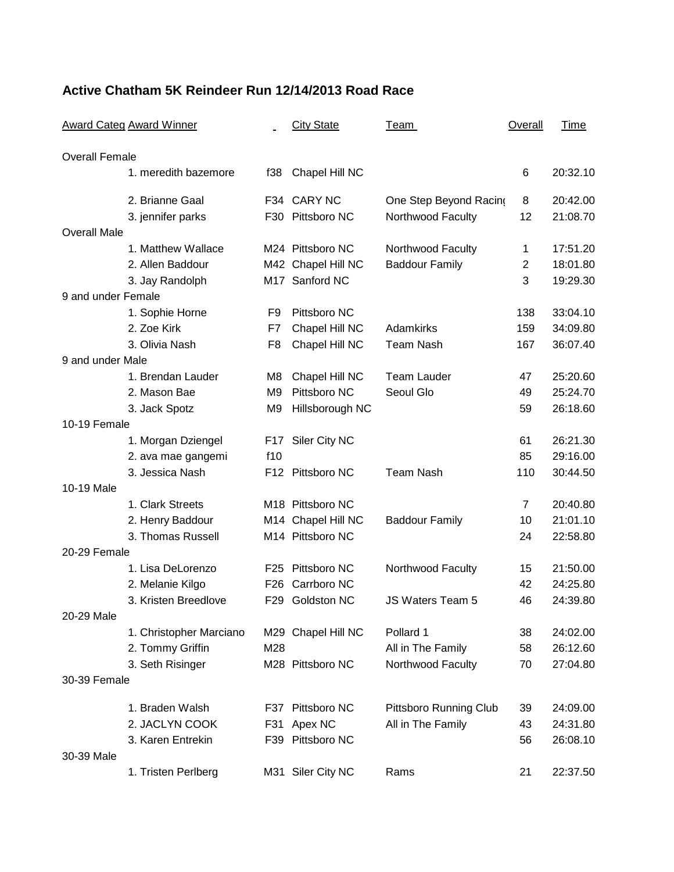## **Active Chatham 5K Reindeer Run 12/14/2013 Road Race**

| <b>Award Categ Award Winner</b> |                         | <b>City State</b> | <u>Team</u>        | <b>Overall</b>         | <b>Time</b>    |          |
|---------------------------------|-------------------------|-------------------|--------------------|------------------------|----------------|----------|
| <b>Overall Female</b>           |                         |                   |                    |                        |                |          |
|                                 | 1. meredith bazemore    | f38               | Chapel Hill NC     |                        | 6              | 20:32.10 |
|                                 | 2. Brianne Gaal         |                   | F34 CARY NC        | One Step Beyond Racing | 8              | 20:42.00 |
|                                 | 3. jennifer parks       |                   | F30 Pittsboro NC   | Northwood Faculty      | 12             | 21:08.70 |
| <b>Overall Male</b>             |                         |                   |                    |                        |                |          |
|                                 | 1. Matthew Wallace      |                   | M24 Pittsboro NC   | Northwood Faculty      | 1              | 17:51.20 |
|                                 | 2. Allen Baddour        |                   | M42 Chapel Hill NC | <b>Baddour Family</b>  | $\overline{2}$ | 18:01.80 |
|                                 | 3. Jay Randolph         |                   | M17 Sanford NC     |                        | 3              | 19:29.30 |
| 9 and under Female              |                         |                   |                    |                        |                |          |
|                                 | 1. Sophie Horne         | F <sub>9</sub>    | Pittsboro NC       |                        | 138            | 33:04.10 |
|                                 | 2. Zoe Kirk             | F7                | Chapel Hill NC     | Adamkirks              | 159            | 34:09.80 |
|                                 | 3. Olivia Nash          | F <sub>8</sub>    | Chapel Hill NC     | <b>Team Nash</b>       | 167            | 36:07.40 |
| 9 and under Male                |                         |                   |                    |                        |                |          |
|                                 | 1. Brendan Lauder       | M8                | Chapel Hill NC     | <b>Team Lauder</b>     | 47             | 25:20.60 |
|                                 | 2. Mason Bae            | M <sub>9</sub>    | Pittsboro NC       | Seoul Glo              | 49             | 25:24.70 |
|                                 | 3. Jack Spotz           | M9                | Hillsborough NC    |                        | 59             | 26:18.60 |
| 10-19 Female                    |                         |                   |                    |                        |                |          |
|                                 | 1. Morgan Dziengel      | F17               | Siler City NC      |                        | 61             | 26:21.30 |
|                                 | 2. ava mae gangemi      | f10               |                    |                        | 85             | 29:16.00 |
|                                 | 3. Jessica Nash         |                   | F12 Pittsboro NC   | <b>Team Nash</b>       | 110            | 30:44.50 |
| 10-19 Male                      |                         |                   |                    |                        |                |          |
|                                 | 1. Clark Streets        |                   | M18 Pittsboro NC   |                        | 7              | 20:40.80 |
|                                 | 2. Henry Baddour        |                   | M14 Chapel Hill NC | <b>Baddour Family</b>  | 10             | 21:01.10 |
|                                 | 3. Thomas Russell       |                   | M14 Pittsboro NC   |                        | 24             | 22:58.80 |
| 20-29 Female                    |                         |                   |                    |                        |                |          |
|                                 | 1. Lisa DeLorenzo       | F25               | Pittsboro NC       | Northwood Faculty      | 15             | 21:50.00 |
|                                 | 2. Melanie Kilgo        | F <sub>26</sub>   | Carrboro NC        |                        | 42             | 24:25.80 |
|                                 | 3. Kristen Breedlove    | F29               | <b>Goldston NC</b> | JS Waters Team 5       | 46             | 24:39.80 |
| 20-29 Male                      |                         |                   |                    |                        |                |          |
|                                 | 1. Christopher Marciano |                   | M29 Chapel Hill NC | Pollard 1              | 38             | 24:02.00 |
|                                 | 2. Tommy Griffin        | M28               |                    | All in The Family      | 58             | 26:12.60 |
|                                 | 3. Seth Risinger        |                   | M28 Pittsboro NC   | Northwood Faculty      | 70             | 27:04.80 |
| 30-39 Female                    |                         |                   |                    |                        |                |          |
|                                 | 1. Braden Walsh         |                   | F37 Pittsboro NC   | Pittsboro Running Club | 39             | 24:09.00 |
|                                 | 2. JACLYN COOK          | F31               | Apex NC            | All in The Family      | 43             | 24:31.80 |
|                                 | 3. Karen Entrekin       |                   | F39 Pittsboro NC   |                        | 56             | 26:08.10 |
| 30-39 Male                      |                         |                   |                    |                        |                |          |
|                                 | 1. Tristen Perlberg     |                   | M31 Siler City NC  | Rams                   | 21             | 22:37.50 |